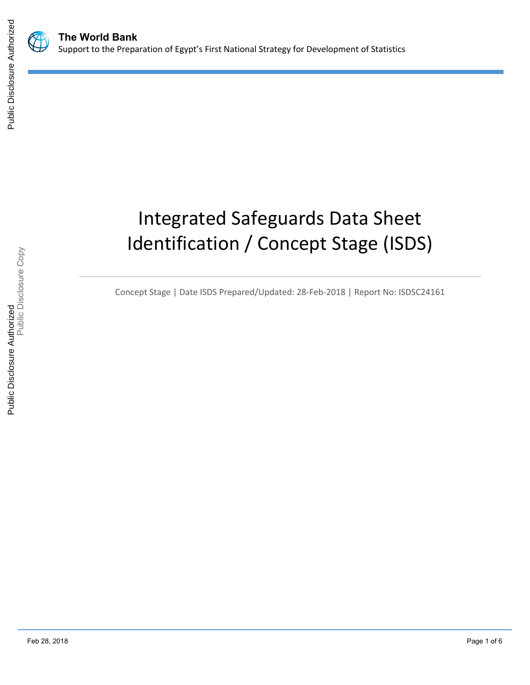

# Integrated Safeguards Data Sheet Identification / Concept Stage (ISDS)

Concept Stage | Date ISDS Prepared/Updated: 28-Feb-2018 | Report No: ISDSC24161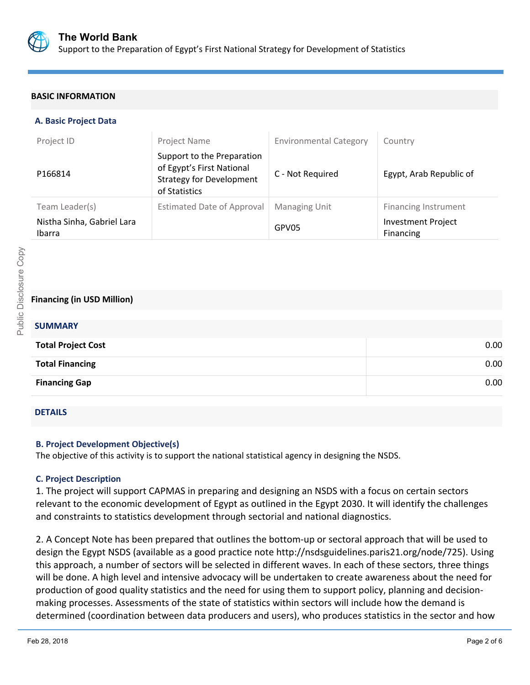

## **BASIC INFORMATION**

## **A. Basic Project Data**

| Project ID                           | Project Name                                                                                                | <b>Environmental Category</b> | Country                                |
|--------------------------------------|-------------------------------------------------------------------------------------------------------------|-------------------------------|----------------------------------------|
| P166814                              | Support to the Preparation<br>of Egypt's First National<br><b>Strategy for Development</b><br>of Statistics | C - Not Required              | Egypt, Arab Republic of                |
| Team Leader(s)                       | <b>Estimated Date of Approval</b>                                                                           | <b>Managing Unit</b>          | <b>Financing Instrument</b>            |
| Nistha Sinha, Gabriel Lara<br>Ibarra |                                                                                                             | GPV05                         | <b>Investment Project</b><br>Financing |

## **Financing (in USD Million)**

## **SUMMARY**

| <b>Total Project Cost</b> | 0.00 |
|---------------------------|------|
| <b>Total Financing</b>    | 0.00 |
| <b>Financing Gap</b>      | 0.00 |

## DETAILS

## **B. Project Development Objective(s)**

The objective of this activity is to support the national statistical agency in designing the NSDS.

## **C. Project Description**

1. The project will support CAPMAS in preparing and designing an NSDS with a focus on certain sectors relevant to the economic development of Egypt as outlined in the Egypt 2030. It will identify the challenges and constraints to statistics development through sectorial and national diagnostics.

2. A Concept Note has been prepared that outlines the bottom-up or sectoral approach that will be used to design the Egypt NSDS (available as a good practice note http://nsdsguidelines.paris21.org/node/725). Using this approach, a number of sectors will be selected in different waves. In each of these sectors, three things will be done. A high level and intensive advocacy will be undertaken to create awareness about the need for production of good quality statistics and the need for using them to support policy, planning and decisionmaking processes. Assessments of the state of statistics within sectors will include how the demand is determined (coordination between data producers and users), who produces statistics in the sector and how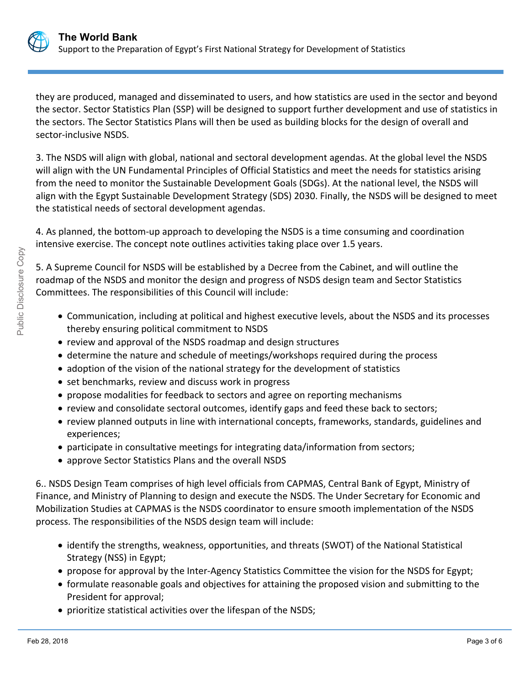

they are produced, managed and disseminated to users, and how statistics are used in the sector and beyond the sector. Sector Statistics Plan (SSP) will be designed to support further development and use of statistics in the sectors. The Sector Statistics Plans will then be used as building blocks for the design of overall and sector-inclusive NSDS.

3. The NSDS will align with global, national and sectoral development agendas. At the global level the NSDS will align with the UN Fundamental Principles of Official Statistics and meet the needs for statistics arising from the need to monitor the Sustainable Development Goals (SDGs). At the national level, the NSDS will align with the Egypt Sustainable Development Strategy (SDS) 2030. Finally, the NSDS will be designed to meet the statistical needs of sectoral development agendas.

4. As planned, the bottom-up approach to developing the NSDS is a time consuming and coordination intensive exercise. The concept note outlines activities taking place over 1.5 years.

5. A Supreme Council for NSDS will be established by a Decree from the Cabinet, and will outline the roadmap of the NSDS and monitor the design and progress of NSDS design team and Sector Statistics Committees. The responsibilities of this Council will include:

- Communication, including at political and highest executive levels, about the NSDS and its processes thereby ensuring political commitment to NSDS
- review and approval of the NSDS roadmap and design structures
- determine the nature and schedule of meetings/workshops required during the process
- adoption of the vision of the national strategy for the development of statistics
- set benchmarks, review and discuss work in progress
- propose modalities for feedback to sectors and agree on reporting mechanisms
- review and consolidate sectoral outcomes, identify gaps and feed these back to sectors;
- review planned outputs in line with international concepts, frameworks, standards, guidelines and experiences;
- participate in consultative meetings for integrating data/information from sectors;
- approve Sector Statistics Plans and the overall NSDS

6.. NSDS Design Team comprises of high level officials from CAPMAS, Central Bank of Egypt, Ministry of Finance, and Ministry of Planning to design and execute the NSDS. The Under Secretary for Economic and Mobilization Studies at CAPMAS is the NSDS coordinator to ensure smooth implementation of the NSDS process. The responsibilities of the NSDS design team will include:

- identify the strengths, weakness, opportunities, and threats (SWOT) of the National Statistical Strategy (NSS) in Egypt;
- propose for approval by the Inter-Agency Statistics Committee the vision for the NSDS for Egypt;
- formulate reasonable goals and objectives for attaining the proposed vision and submitting to the President for approval;
- prioritize statistical activities over the lifespan of the NSDS;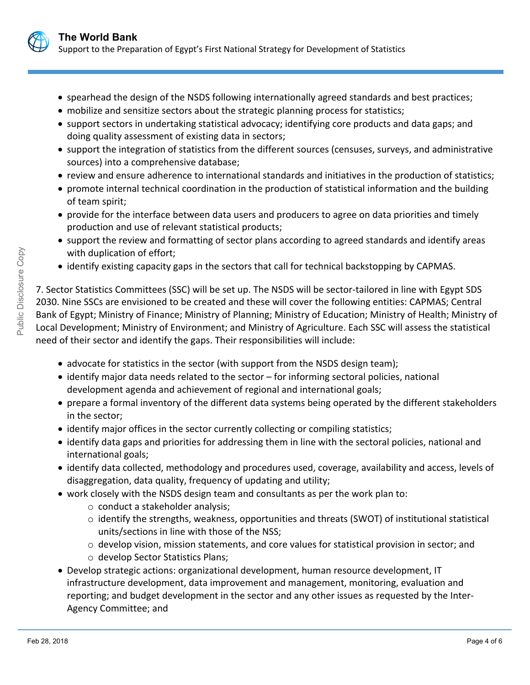

- spearhead the design of the NSDS following internationally agreed standards and best practices;
- mobilize and sensitize sectors about the strategic planning process for statistics;
- support sectors in undertaking statistical advocacy; identifying core products and data gaps; and doing quality assessment of existing data in sectors;
- support the integration of statistics from the different sources (censuses, surveys, and administrative sources) into a comprehensive database;
- review and ensure adherence to international standards and initiatives in the production of statistics;
- promote internal technical coordination in the production of statistical information and the building of team spirit;
- provide for the interface between data users and producers to agree on data priorities and timely production and use of relevant statistical products;
- support the review and formatting of sector plans according to agreed standards and identify areas with duplication of effort;
- identify existing capacity gaps in the sectors that call for technical backstopping by CAPMAS.

7. Sector Statistics Committees (SSC) will be set up. The NSDS will be sector-tailored in line with Egypt SDS 2030. Nine SSCs are envisioned to be created and these will cover the following entities: CAPMAS; Central Bank of Egypt; Ministry of Finance; Ministry of Planning; Ministry of Education; Ministry of Health; Ministry of Local Development; Ministry of Environment; and Ministry of Agriculture. Each SSC will assess the statistical need of their sector and identify the gaps. Their responsibilities will include:

- advocate for statistics in the sector (with support from the NSDS design team);
- identify major data needs related to the sector for informing sectoral policies, national development agenda and achievement of regional and international goals;
- prepare a formal inventory of the different data systems being operated by the different stakeholders in the sector;
- identify major offices in the sector currently collecting or compiling statistics;
- identify data gaps and priorities for addressing them in line with the sectoral policies, national and international goals;
- identify data collected, methodology and procedures used, coverage, availability and access, levels of disaggregation, data quality, frequency of updating and utility;
- work closely with the NSDS design team and consultants as per the work plan to:
	- o conduct a stakeholder analysis;
	- o identify the strengths, weakness, opportunities and threats (SWOT) of institutional statistical units/sections in line with those of the NSS;
	- $\circ$  develop vision, mission statements, and core values for statistical provision in sector; and
	- o develop Sector Statistics Plans;
- Develop strategic actions: organizational development, human resource development, IT infrastructure development, data improvement and management, monitoring, evaluation and reporting; and budget development in the sector and any other issues as requested by the Inter-Agency Committee; and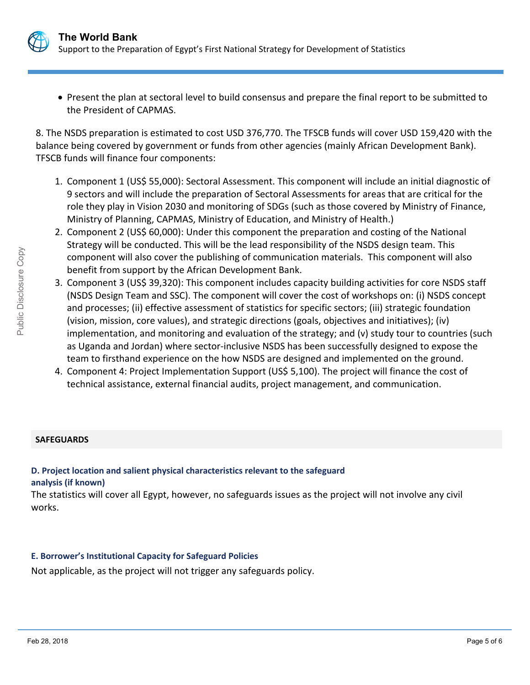

 Present the plan at sectoral level to build consensus and prepare the final report to be submitted to the President of CAPMAS.

8. The NSDS preparation is estimated to cost USD 376,770. The TFSCB funds will cover USD 159,420 with the balance being covered by government or funds from other agencies (mainly African Development Bank). TFSCB funds will finance four components:

- 1. Component 1 (US\$ 55,000): Sectoral Assessment. This component will include an initial diagnostic of 9 sectors and will include the preparation of Sectoral Assessments for areas that are critical for the role they play in Vision 2030 and monitoring of SDGs (such as those covered by Ministry of Finance, Ministry of Planning, CAPMAS, Ministry of Education, and Ministry of Health.)
- 2. Component 2 (US\$ 60,000): Under this component the preparation and costing of the National Strategy will be conducted. This will be the lead responsibility of the NSDS design team. This component will also cover the publishing of communication materials. This component will also benefit from support by the African Development Bank.
- 3. Component 3 (US\$ 39,320): This component includes capacity building activities for core NSDS staff (NSDS Design Team and SSC). The component will cover the cost of workshops on: (i) NSDS concept and processes; (ii) effective assessment of statistics for specific sectors; (iii) strategic foundation (vision, mission, core values), and strategic directions (goals, objectives and initiatives); (iv) implementation, and monitoring and evaluation of the strategy; and (v) study tour to countries (such as Uganda and Jordan) where sector-inclusive NSDS has been successfully designed to expose the team to firsthand experience on the how NSDS are designed and implemented on the ground.
- 4. Component 4: Project Implementation Support (US\$ 5,100). The project will finance the cost of technical assistance, external financial audits, project management, and communication.

## **SAFEGUARDS**

# **D. Project location and salient physical characteristics relevant to the safeguard analysis (if known)**

The statistics will cover all Egypt, however, no safeguards issues as the project will not involve any civil works.

## **E. Borrower's Institutional Capacity for Safeguard Policies**

Not applicable, as the project will not trigger any safeguards policy.